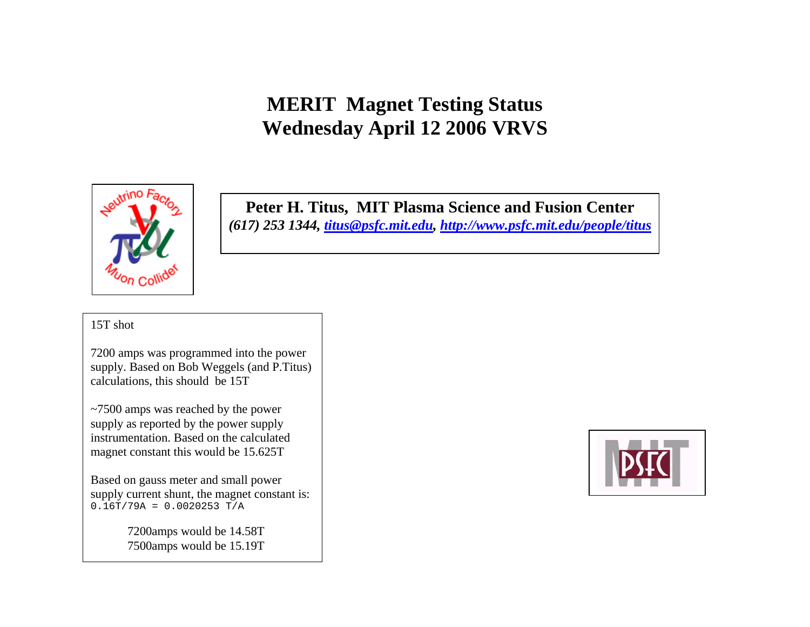## **MERIT Magnet Testing Status Wednesday April 12 2006 VRVS**



**Peter H. Titus, MIT Plasma Science and Fusion Center**  *(617) 253 1344, titus@psfc.mit.edu, http://www.psfc.mit.edu/people/titus*

## 15T shot

7200 amps was programmed into the power supply. Based on Bob Weggels (and P.Titus) calculations, this should be 15T

~7500 amps was reached by the power supply as reported by the power supply instrumentation. Based on the calculated magnet constant this would be 15.625T

Based on gauss meter and small power supply current shunt, the magnet constant is:  $0.16T/79A = 0.0020253 T/A$ 

> 7200amps would be 14.58T 7500amps would be 15.19T

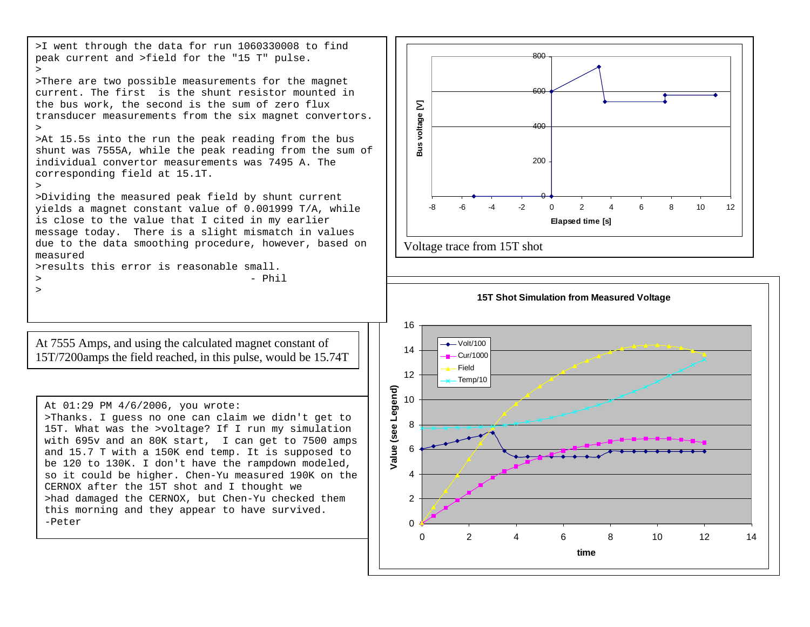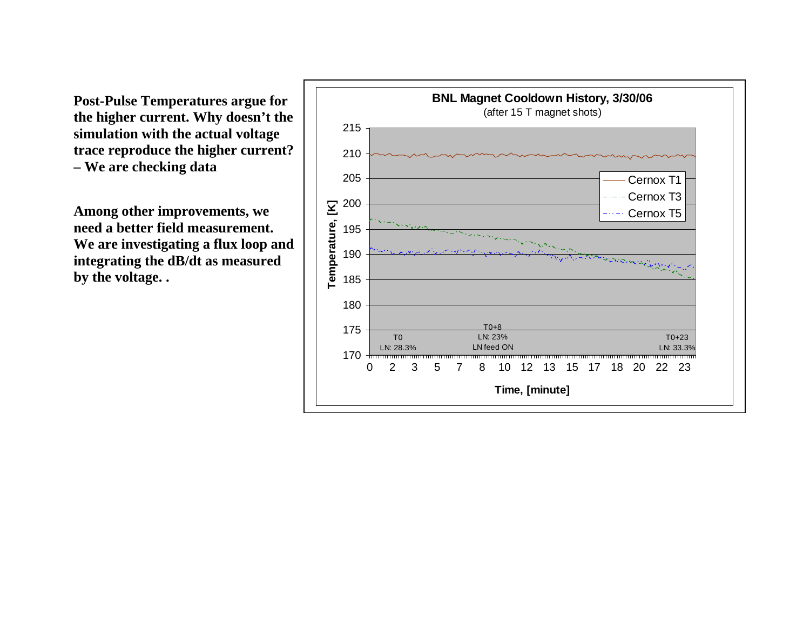**Post-Pulse Temperatures argue for the higher current. Why doesn't the simulation with the actual voltage trace reproduce the higher current? – We are checking data** 

**Among other improvements, we need a better field measurement. We are investigating a flux loop and integrating the dB/dt as measured by the voltage. .**